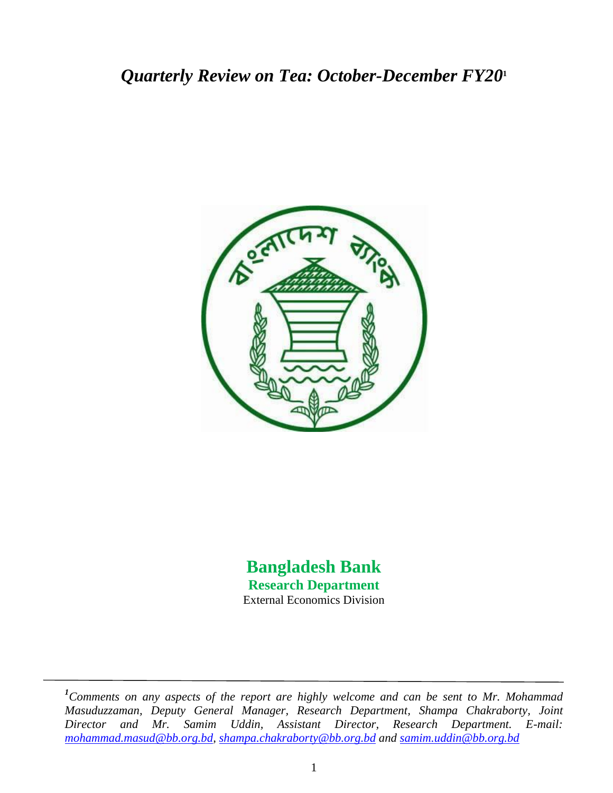# *Quarterly Review on Tea: October-December FY20***<sup>1</sup>**



# **Bangladesh Bank Research Department** External Economics Division

*<sup>1</sup>Comments on any aspects of the report are highly welcome and can be sent to Mr. Mohammad Masuduzzaman, Deputy General Manager, Research Department, Shampa Chakraborty, Joint Director and Mr. Samim Uddin, Assistant Director, Research Department. E-mail: [mohammad.masud@bb.org.bd,](mailto:mohammad.masud@bb.org.bd) [shampa.chakraborty@bb.org.bd](mailto:shampa.chakraborty@bb.org.bd) and samim.uddin@bb.org.bd*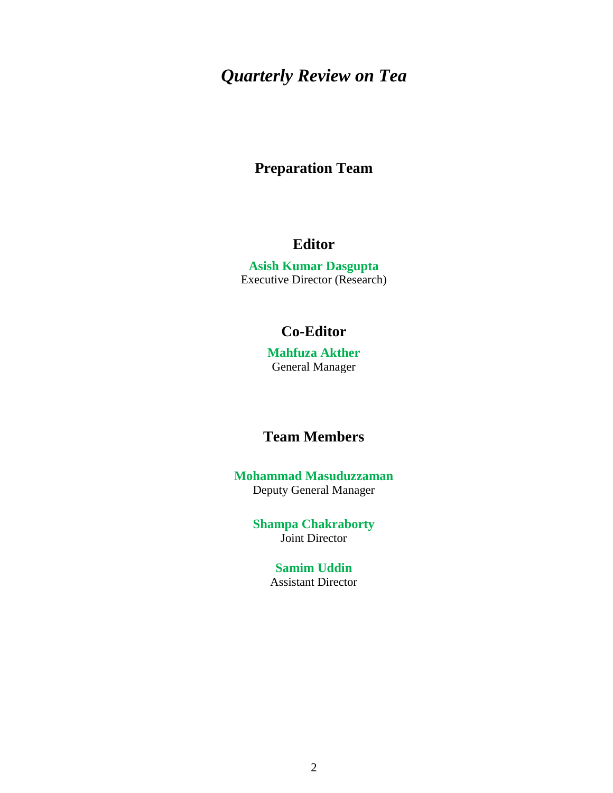# *Quarterly Review on Tea*

# **Preparation Team**

# **Editor**

**Asish Kumar Dasgupta** Executive Director (Research)

# **Co-Editor**

**Mahfuza Akther** General Manager

# **Team Members**

**Mohammad Masuduzzaman** Deputy General Manager

> **Shampa Chakraborty** Joint Director

> > **Samim Uddin** Assistant Director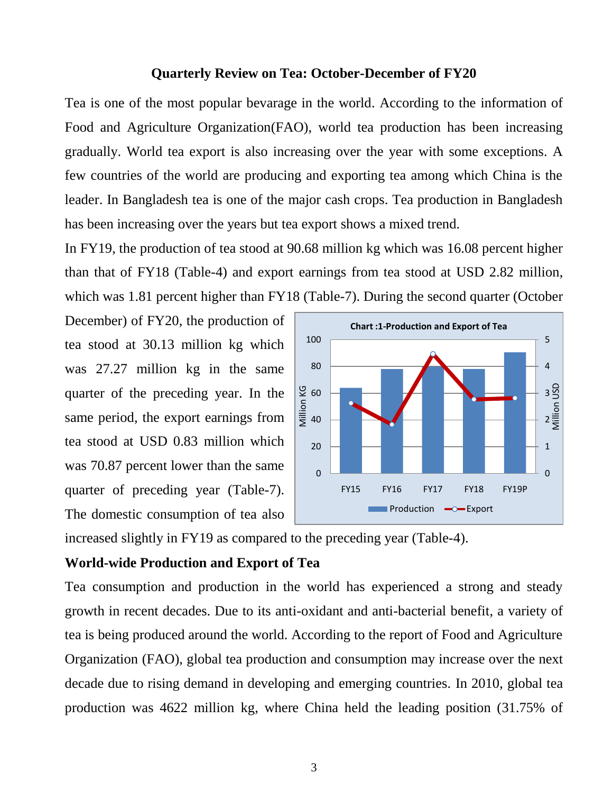### **Quarterly Review on Tea: October-December of FY20**

Tea is one of the most popular bevarage in the world. According to the information of Food and Agriculture Organization(FAO), world tea production has been increasing gradually. World tea export is also increasing over the year with some exceptions. A few countries of the world are producing and exporting tea among which China is the leader. In Bangladesh tea is one of the major cash crops. Tea production in Bangladesh has been increasing over the years but tea export shows a mixed trend.

In FY19, the production of tea stood at 90.68 million kg which was 16.08 percent higher than that of FY18 (Table-4) and export earnings from tea stood at USD 2.82 million, which was 1.81 percent higher than FY18 (Table-7). During the second quarter (October

December) of FY20, the production of tea stood at 30.13 million kg which was 27.27 million kg in the same quarter of the preceding year. In the same period, the export earnings from tea stood at USD 0.83 million which was 70.87 percent lower than the same quarter of preceding year (Table-7). The domestic consumption of tea also



increased slightly in FY19 as compared to the preceding year (Table-4).

#### **World-wide Production and Export of Tea**

Tea consumption and production in the world has experienced a strong and steady growth in recent decades. Due to its anti-oxidant and anti-bacterial benefit, a variety of tea is being produced around the world. According to the report of Food and Agriculture Organization (FAO), global tea production and consumption may increase over the next decade due to rising demand in developing and emerging countries. In 2010, global tea production was 4622 million kg, where China held the leading position (31.75% of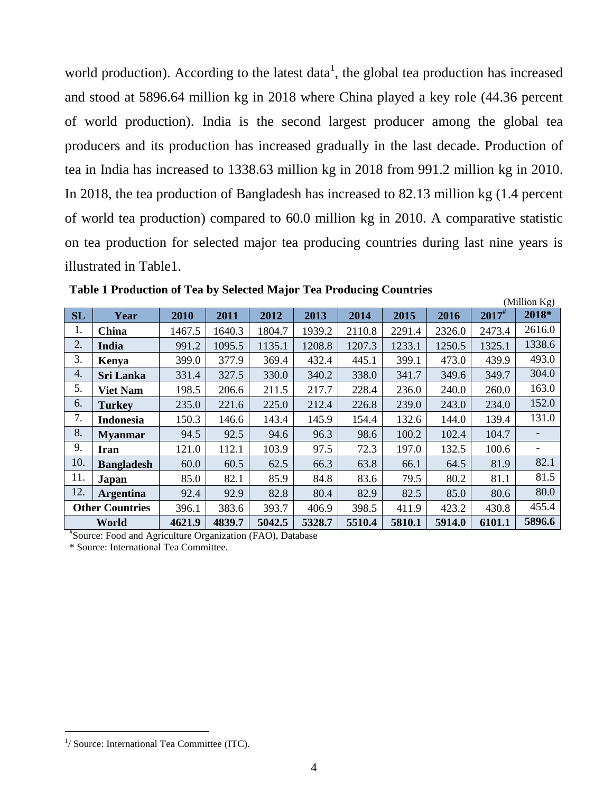world production). According to the latest data<sup>1</sup>, the global tea production has increased and stood at 5896.64 million kg in 2018 where China played a key role (44.36 percent of world production). India is the second largest producer among the global tea producers and its production has increased gradually in the last decade. Production of tea in India has increased to 1338.63 million kg in 2018 from 991.2 million kg in 2010. In 2018, the tea production of Bangladesh has increased to 82.13 million kg (1.4 percent of world tea production) compared to 60.0 million kg in 2010. A comparative statistic on tea production for selected major tea producing countries during last nine years is illustrated in Table1.

 $(M_1$ llion  $K_{\alpha}$ )

|           |                        |        |        |        |        |        |        |        |            | $($ winnon $\mathbf{R}$ |
|-----------|------------------------|--------|--------|--------|--------|--------|--------|--------|------------|-------------------------|
| <b>SL</b> | Year                   | 2010   | 2011   | 2012   | 2013   | 2014   | 2015   | 2016   | $2017^{#}$ | 2018*                   |
| 1.        | China                  | 1467.5 | 1640.3 | 1804.7 | 1939.2 | 2110.8 | 2291.4 | 2326.0 | 2473.4     | 2616.0                  |
| 2.        | India                  | 991.2  | 1095.5 | 1135.1 | 1208.8 | 1207.3 | 1233.1 | 1250.5 | 1325.1     | 1338.6                  |
| 3.        | Kenya                  | 399.0  | 377.9  | 369.4  | 432.4  | 445.1  | 399.1  | 473.0  | 439.9      | 493.0                   |
| 4.        | <b>Sri Lanka</b>       | 331.4  | 327.5  | 330.0  | 340.2  | 338.0  | 341.7  | 349.6  | 349.7      | 304.0                   |
| 5.        | <b>Viet Nam</b>        | 198.5  | 206.6  | 211.5  | 217.7  | 228.4  | 236.0  | 240.0  | 260.0      | 163.0                   |
| 6.        | <b>Turkey</b>          | 235.0  | 221.6  | 225.0  | 212.4  | 226.8  | 239.0  | 243.0  | 234.0      | 152.0                   |
| 7.        | <b>Indonesia</b>       | 150.3  | 146.6  | 143.4  | 145.9  | 154.4  | 132.6  | 144.0  | 139.4      | 131.0                   |
| 8.        | <b>Myanmar</b>         | 94.5   | 92.5   | 94.6   | 96.3   | 98.6   | 100.2  | 102.4  | 104.7      |                         |
| 9.        | Iran                   | 121.0  | 112.1  | 103.9  | 97.5   | 72.3   | 197.0  | 132.5  | 100.6      |                         |
| 10.       | <b>Bangladesh</b>      | 60.0   | 60.5   | 62.5   | 66.3   | 63.8   | 66.1   | 64.5   | 81.9       | 82.1                    |
| 11.       | Japan                  | 85.0   | 82.1   | 85.9   | 84.8   | 83.6   | 79.5   | 80.2   | 81.1       | 81.5                    |
| 12.       | <b>Argentina</b>       | 92.4   | 92.9   | 82.8   | 80.4   | 82.9   | 82.5   | 85.0   | 80.6       | 80.0                    |
|           | <b>Other Countries</b> | 396.1  | 383.6  | 393.7  | 406.9  | 398.5  | 411.9  | 423.2  | 430.8      | 455.4                   |
|           | World                  | 4621.9 | 4839.7 | 5042.5 | 5328.7 | 5510.4 | 5810.1 | 5914.0 | 6101.1     | 5896.6                  |

**Table 1 Production of Tea by Selected Major Tea Producing Countries**

# Source: Food and Agriculture Organization (FAO), Database

\* Source: International Tea Committee.

<sup>&</sup>lt;sup>1</sup>/ Source: International Tea Committee (ITC).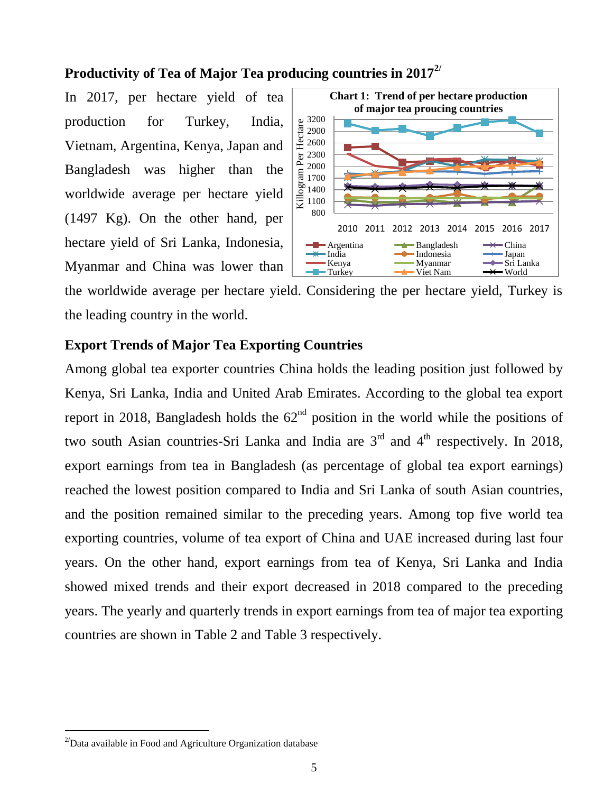## **Productivity of Tea of Major Tea producing countries in 20172/**

In 2017, per hectare yield of tea production for Turkey, India, Vietnam, Argentina, Kenya, Japan and Bangladesh was higher than the worldwide average per hectare yield (1497 Kg). On the other hand, per hectare yield of Sri Lanka, Indonesia, Myanmar and China was lower than



the worldwide average per hectare yield. Considering the per hectare yield, Turkey is the leading country in the world.

# **Export Trends of Major Tea Exporting Countries**

Among global tea exporter countries China holds the leading position just followed by Kenya, Sri Lanka, India and United Arab Emirates. According to the global tea export report in 2018, Bangladesh holds the  $62<sup>nd</sup>$  position in the world while the positions of two south Asian countries-Sri Lanka and India are  $3<sup>rd</sup>$  and  $4<sup>th</sup>$  respectively. In 2018, export earnings from tea in Bangladesh (as percentage of global tea export earnings) reached the lowest position compared to India and Sri Lanka of south Asian countries, and the position remained similar to the preceding years. Among top five world tea exporting countries, volume of tea export of China and UAE increased during last four years. On the other hand, export earnings from tea of Kenya, Sri Lanka and India showed mixed trends and their export decreased in 2018 compared to the preceding years. The yearly and quarterly trends in export earnings from tea of major tea exporting countries are shown in Table 2 and Table 3 respectively.

<sup>&</sup>lt;sup>2/</sup>Data available in Food and Agriculture Organization database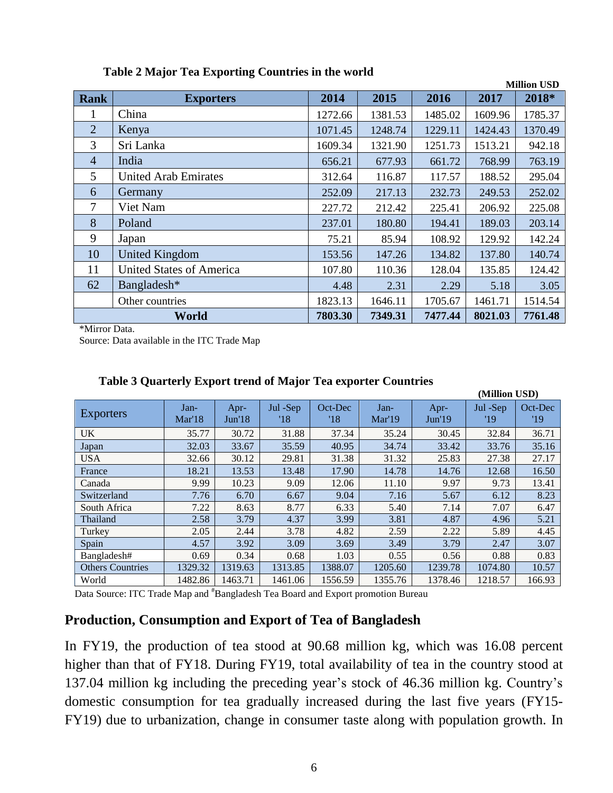|                | <b>Million USD</b>              |         |         |         |         |         |  |
|----------------|---------------------------------|---------|---------|---------|---------|---------|--|
| Rank           | <b>Exporters</b>                | 2014    | 2015    | 2016    | 2017    | 2018*   |  |
| 1              | China                           | 1272.66 | 1381.53 | 1485.02 | 1609.96 | 1785.37 |  |
| $\overline{2}$ | Kenya                           | 1071.45 | 1248.74 | 1229.11 | 1424.43 | 1370.49 |  |
| 3              | Sri Lanka                       | 1609.34 | 1321.90 | 1251.73 | 1513.21 | 942.18  |  |
| $\overline{4}$ | India                           | 656.21  | 677.93  | 661.72  | 768.99  | 763.19  |  |
| 5              | <b>United Arab Emirates</b>     | 312.64  | 116.87  | 117.57  | 188.52  | 295.04  |  |
| 6              | Germany                         | 252.09  | 217.13  | 232.73  | 249.53  | 252.02  |  |
| $\overline{7}$ | Viet Nam                        | 227.72  | 212.42  | 225.41  | 206.92  | 225.08  |  |
| 8              | Poland                          | 237.01  | 180.80  | 194.41  | 189.03  | 203.14  |  |
| 9              | Japan                           | 75.21   | 85.94   | 108.92  | 129.92  | 142.24  |  |
| 10             | <b>United Kingdom</b>           | 153.56  | 147.26  | 134.82  | 137.80  | 140.74  |  |
| 11             | <b>United States of America</b> | 107.80  | 110.36  | 128.04  | 135.85  | 124.42  |  |
| 62             | Bangladesh*                     | 4.48    | 2.31    | 2.29    | 5.18    | 3.05    |  |
|                | Other countries                 | 1823.13 | 1646.11 | 1705.67 | 1461.71 | 1514.54 |  |
|                | World                           | 7803.30 | 7349.31 | 7477.44 | 8021.03 | 7761.48 |  |

#### **Table 2 Major Tea Exporting Countries in the world**

\*Mirror Data.

Source: Data available in the ITC Trade Map

|                         |                |                           |                 |                |                |                | (Million USD)   |                |
|-------------------------|----------------|---------------------------|-----------------|----------------|----------------|----------------|-----------------|----------------|
| <b>Exporters</b>        | Jan-<br>Mar'18 | Apr-<br>Jun <sub>18</sub> | Jul -Sep<br>'18 | Oct-Dec<br>'18 | Jan-<br>Mar'19 | Apr-<br>Jun'19 | Jul -Sep<br>'19 | Oct-Dec<br>'19 |
| <b>UK</b>               | 35.77          | 30.72                     | 31.88           | 37.34          | 35.24          | 30.45          | 32.84           | 36.71          |
| Japan                   | 32.03          | 33.67                     | 35.59           | 40.95          | 34.74          | 33.42          | 33.76           | 35.16          |
| <b>USA</b>              | 32.66          | 30.12                     | 29.81           | 31.38          | 31.32          | 25.83          | 27.38           | 27.17          |
| France                  | 18.21          | 13.53                     | 13.48           | 17.90          | 14.78          | 14.76          | 12.68           | 16.50          |
| Canada                  | 9.99           | 10.23                     | 9.09            | 12.06          | 11.10          | 9.97           | 9.73            | 13.41          |
| Switzerland             | 7.76           | 6.70                      | 6.67            | 9.04           | 7.16           | 5.67           | 6.12            | 8.23           |
| South Africa            | 7.22           | 8.63                      | 8.77            | 6.33           | 5.40           | 7.14           | 7.07            | 6.47           |
| Thailand                | 2.58           | 3.79                      | 4.37            | 3.99           | 3.81           | 4.87           | 4.96            | 5.21           |
| Turkey                  | 2.05           | 2.44                      | 3.78            | 4.82           | 2.59           | 2.22           | 5.89            | 4.45           |
| Spain                   | 4.57           | 3.92                      | 3.09            | 3.69           | 3.49           | 3.79           | 2.47            | 3.07           |
| Bangladesh#             | 0.69           | 0.34                      | 0.68            | 1.03           | 0.55           | 0.56           | 0.88            | 0.83           |
| <b>Others Countries</b> | 1329.32        | 1319.63                   | 1313.85         | 1388.07        | 1205.60        | 1239.78        | 1074.80         | 10.57          |
| World                   | 1482.86        | 1463.71                   | 1461.06         | 1556.59        | 1355.76        | 1378.46        | 1218.57         | 166.93         |

#### **Table 3 Quarterly Export trend of Major Tea exporter Countries**

Data Source: ITC Trade Map and #Bangladesh Tea Board and Export promotion Bureau

### **Production, Consumption and Export of Tea of Bangladesh**

In FY19, the production of tea stood at 90.68 million kg, which was 16.08 percent higher than that of FY18. During FY19, total availability of tea in the country stood at 137.04 million kg including the preceding year's stock of 46.36 million kg. Country's domestic consumption for tea gradually increased during the last five years (FY15- FY19) due to urbanization, change in consumer taste along with population growth. In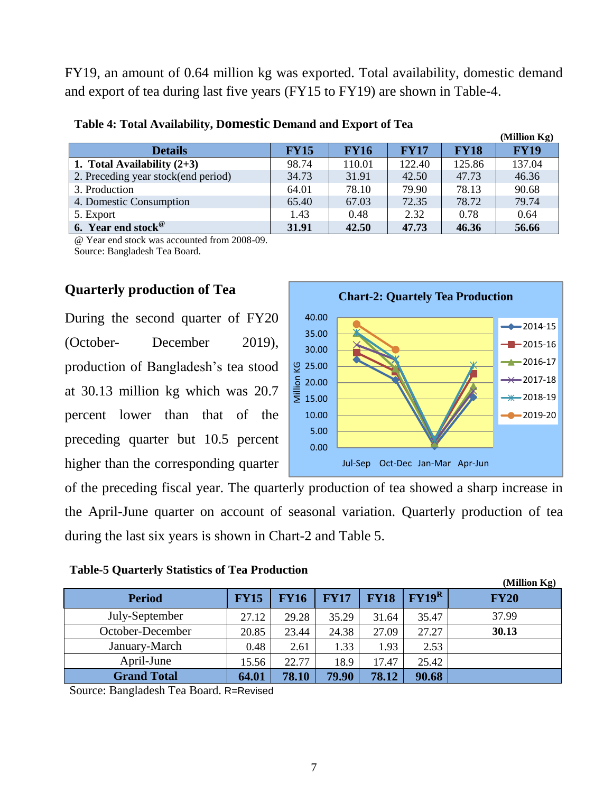FY19, an amount of 0.64 million kg was exported. Total availability, domestic demand and export of tea during last five years (FY15 to FY19) are shown in Table-4.

|                                     |             |             |             |             | (Million Kg) |
|-------------------------------------|-------------|-------------|-------------|-------------|--------------|
| <b>Details</b>                      | <b>FY15</b> | <b>FY16</b> | <b>FY17</b> | <b>FY18</b> | <b>FY19</b>  |
| 1. Total Availability $(2+3)$       | 98.74       | 110.01      | 122.40      | 125.86      | 137.04       |
| 2. Preceding year stock(end period) | 34.73       | 31.91       | 42.50       | 47.73       | 46.36        |
| 3. Production                       | 64.01       | 78.10       | 79.90       | 78.13       | 90.68        |
| 4. Domestic Consumption             | 65.40       | 67.03       | 72.35       | 78.72       | 79.74        |
| 5. Export                           | 1.43        | 0.48        | 2.32        | 0.78        | 0.64         |
| 6. Year end stock $\mathscr{C}$     | 31.91       | 42.50       | 47.73       | 46.36       | 56.66        |

#### **Table 4: Total Availability, Domestic Demand and Export of Tea**

@ Year end stock was accounted from 2008-09. Source: Bangladesh Tea Board.

### **Quarterly production of Tea**

During the second quarter of FY20 (October- December 2019), production of Bangladesh's tea stood at 30.13 million kg which was 20.7 percent lower than that of the preceding quarter but 10.5 percent higher than the corresponding quarter



of the preceding fiscal year. The quarterly production of tea showed a sharp increase in the April-June quarter on account of seasonal variation. Quarterly production of tea during the last six years is shown in Chart-2 and Table 5.

#### **Table-5 Quarterly Statistics of Tea Production**

|                    |             |             |             |             |          | (Million Kg) |
|--------------------|-------------|-------------|-------------|-------------|----------|--------------|
| <b>Period</b>      | <b>FY15</b> | <b>FY16</b> | <b>FY17</b> | <b>FY18</b> | $FY19^R$ | <b>FY20</b>  |
| July-September     | 27.12       | 29.28       | 35.29       | 31.64       | 35.47    | 37.99        |
| October-December   | 20.85       | 23.44       | 24.38       | 27.09       | 27.27    | 30.13        |
| January-March      | 0.48        | 2.61        | 1.33        | 1.93        | 2.53     |              |
| April-June         | 15.56       | 22.77       | 18.9        | 17.47       | 25.42    |              |
| <b>Grand Total</b> | 64.01       | 78.10       | 79.90       | 78.12       | 90.68    |              |

Source: Bangladesh Tea Board. R=Revised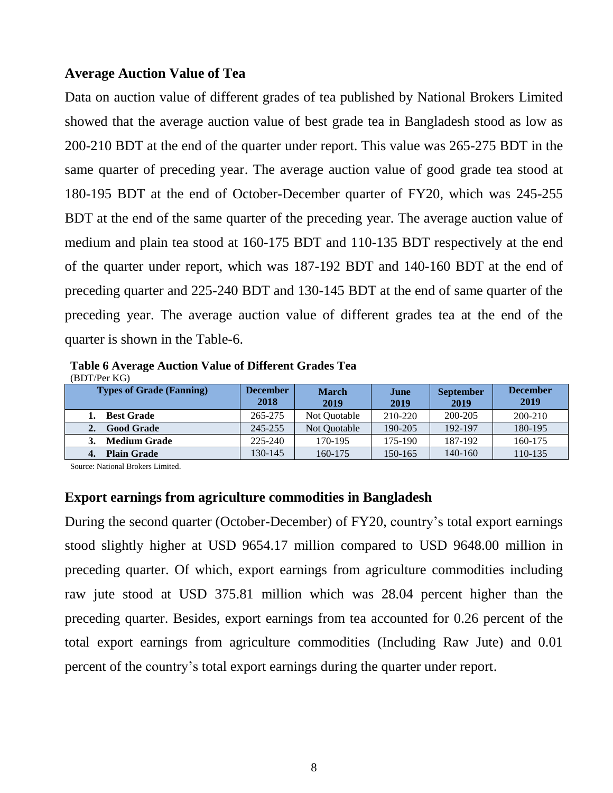#### **Average Auction Value of Tea**

Data on auction value of different grades of tea published by National Brokers Limited showed that the average auction value of best grade tea in Bangladesh stood as low as 200-210 BDT at the end of the quarter under report. This value was 265-275 BDT in the same quarter of preceding year. The average auction value of good grade tea stood at 180-195 BDT at the end of October-December quarter of FY20, which was 245-255 BDT at the end of the same quarter of the preceding year. The average auction value of medium and plain tea stood at 160-175 BDT and 110-135 BDT respectively at the end of the quarter under report, which was 187-192 BDT and 140-160 BDT at the end of preceding quarter and 225-240 BDT and 130-145 BDT at the end of same quarter of the preceding year. The average auction value of different grades tea at the end of the quarter is shown in the Table-6.

**Table 6 Average Auction Value of Different Grades Tea** (BDT/Per KG)

| <b>Types of Grade (Fanning)</b> | <b>December</b><br>2018 | <b>March</b><br>2019 | June<br>2019 | <b>September</b><br>2019 | <b>December</b><br>2019 |
|---------------------------------|-------------------------|----------------------|--------------|--------------------------|-------------------------|
| <b>Best Grade</b>               | 265-275                 | Not Quotable         | 210-220      | 200-205                  | 200-210                 |
| <b>Good Grade</b>               | 245-255                 | Not Quotable         | 190-205      | 192-197                  | 180-195                 |
| <b>Medium Grade</b>             | $225 - 240$             | 170-195              | 175-190      | 187-192                  | 160-175                 |
| <b>Plain Grade</b>              | 130-145                 | 160-175              | 150-165      | 140-160                  | 110-135                 |

Source: National Brokers Limited.

### **Export earnings from agriculture commodities in Bangladesh**

During the second quarter (October-December) of FY20, country's total export earnings stood slightly higher at USD 9654.17 million compared to USD 9648.00 million in preceding quarter. Of which, export earnings from agriculture commodities including raw jute stood at USD 375.81 million which was 28.04 percent higher than the preceding quarter. Besides, export earnings from tea accounted for 0.26 percent of the total export earnings from agriculture commodities (Including Raw Jute) and 0.01 percent of the country's total export earnings during the quarter under report.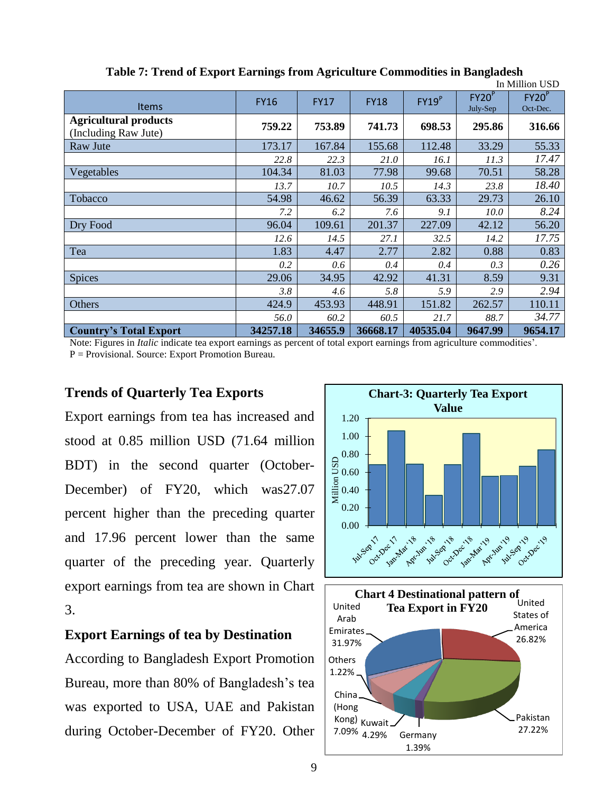|                                                      |             |             |             |                   |                               | In Million USD                |
|------------------------------------------------------|-------------|-------------|-------------|-------------------|-------------------------------|-------------------------------|
| <b>Items</b>                                         | <b>FY16</b> | <b>FY17</b> | <b>FY18</b> | FY19 <sup>P</sup> | FY20 <sup>P</sup><br>July-Sep | FY20 <sup>P</sup><br>Oct-Dec. |
| <b>Agricultural products</b><br>(Including Raw Jute) | 759.22      | 753.89      | 741.73      | 698.53            | 295.86                        | 316.66                        |
| Raw Jute                                             | 173.17      | 167.84      | 155.68      | 112.48            | 33.29                         | 55.33                         |
|                                                      | 22.8        | 22.3        | 21.0        | 16.1              | 11.3                          | 17.47                         |
| Vegetables                                           | 104.34      | 81.03       | 77.98       | 99.68             | 70.51                         | 58.28                         |
|                                                      | 13.7        | 10.7        | 10.5        | 14.3              | 23.8                          | 18.40                         |
| Tobacco                                              | 54.98       | 46.62       | 56.39       | 63.33             | 29.73                         | 26.10                         |
|                                                      | 7.2         | 6.2         | 7.6         | 9.1               | 10.0                          | 8.24                          |
| Dry Food                                             | 96.04       | 109.61      | 201.37      | 227.09            | 42.12                         | 56.20                         |
|                                                      | 12.6        | 14.5        | 27.1        | 32.5              | 14.2                          | 17.75                         |
| Tea                                                  | 1.83        | 4.47        | 2.77        | 2.82              | 0.88                          | 0.83                          |
|                                                      | 0.2         | 0.6         | 0.4         | 0.4               | 0.3                           | 0.26                          |
| <b>Spices</b>                                        | 29.06       | 34.95       | 42.92       | 41.31             | 8.59                          | 9.31                          |
|                                                      | 3.8         | 4.6         | 5.8         | 5.9               | 2.9                           | 2.94                          |
| Others                                               | 424.9       | 453.93      | 448.91      | 151.82            | 262.57                        | 110.11                        |
|                                                      | 56.0        | 60.2        | 60.5        | 21.7              | 88.7                          | 34.77                         |
| <b>Country's Total Export</b>                        | 34257.18    | 34655.9     | 36668.17    | 40535.04          | 9647.99                       | 9654.17                       |

**Table 7: Trend of Export Earnings from Agriculture Commodities in Bangladesh**

Note: Figures in *Italic* indicate tea export earnings as percent of total export earnings from agriculture commodities'. P = Provisional. Source: Export Promotion Bureau.

## **Trends of Quarterly Tea Exports**

Export earnings from tea has increased and stood at 0.85 million USD (71.64 million BDT) in the second quarter (October-December) of FY20, which was27.07 percent higher than the preceding quarter and 17.96 percent lower than the same quarter of the preceding year. Quarterly export earnings from tea are shown in Chart 3.

# **Export Earnings of tea by Destination**

According to Bangladesh Export Promotion Bureau, more than 80% of Bangladesh's tea was exported to USA, UAE and Pakistan during October-December of FY20. Other